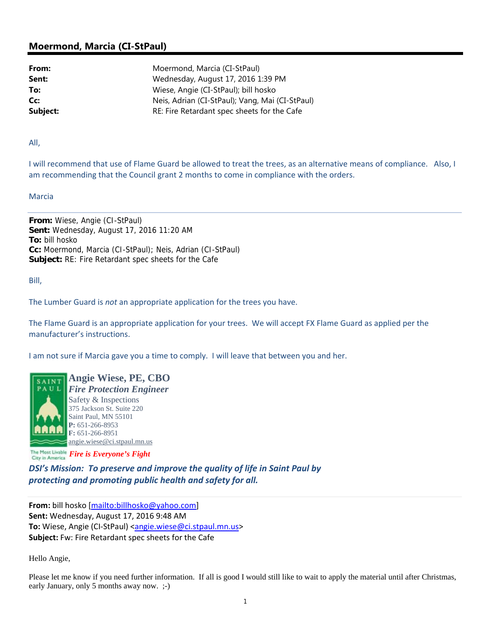## **Moermond, Marcia (CI-StPaul)**

**From:** Moermond, Marcia (CI-StPaul) Sent: Wednesday, August 17, 2016 1:39 PM **To:** Wiese, Angie (CI-StPaul); bill hosko **Cc:** Neis, Adrian (CI-StPaul); Vang, Mai (CI-StPaul) **Subject:** RE: Fire Retardant spec sheets for the Cafe

All,

I will recommend that use of Flame Guard be allowed to treat the trees, as an alternative means of compliance. Also, I am recommending that the Council grant 2 months to come in compliance with the orders.

Marcia

**From:** Wiese, Angie (CI-StPaul) **Sent:** Wednesday, August 17, 2016 11:20 AM **To:** bill hosko **Cc:** Moermond, Marcia (CI-StPaul); Neis, Adrian (CI-StPaul) **Subject:** RE: Fire Retardant spec sheets for the Cafe

Bill,

The Lumber Guard is *not* an appropriate application for the trees you have.

The Flame Guard is an appropriate application for your trees. We will accept FX Flame Guard as applied per the manufacturer's instructions.

I am not sure if Marcia gave you a time to comply. I will leave that between you and her.



**Angie Wiese, PE, CBO** *Fire Protection Engineer* Safety & Inspections 375 Jackson St. Suite 220 Saint Paul, MN 55101 **P:** 651-266-8953 **F:** 651-266-8951 angie.wiese@ci.stpaul.mn.us

*Fire is Everyone's Fight* 

*DSI's Mission: To preserve and improve the quality of life in Saint Paul by protecting and promoting public health and safety for all.*

**From:** bill hosko [mailto:billhosko@yahoo.com] **Sent:** Wednesday, August 17, 2016 9:48 AM To: Wiese, Angie (CI-StPaul) <angie.wiese@ci.stpaul.mn.us> **Subject:** Fw: Fire Retardant spec sheets for the Cafe

Hello Angie,

Please let me know if you need further information. If all is good I would still like to wait to apply the material until after Christmas, early January, only 5 months away now. ;-)